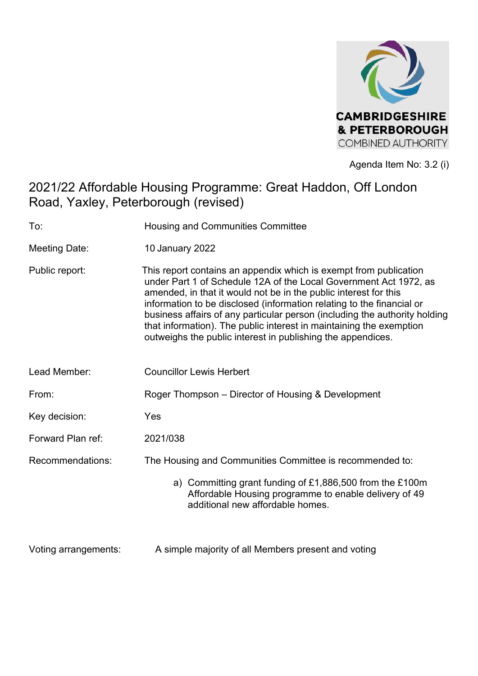

Agenda Item No: 3.2 (i)

# 2021/22 Affordable Housing Programme: Great Haddon, Off London Road, Yaxley, Peterborough (revised)

| To:                  | Housing and Communities Committee                                                                                                                                                                                                                                                                                                                                                                                                                                                                       |  |  |  |  |
|----------------------|---------------------------------------------------------------------------------------------------------------------------------------------------------------------------------------------------------------------------------------------------------------------------------------------------------------------------------------------------------------------------------------------------------------------------------------------------------------------------------------------------------|--|--|--|--|
| <b>Meeting Date:</b> | 10 January 2022                                                                                                                                                                                                                                                                                                                                                                                                                                                                                         |  |  |  |  |
| Public report:       | This report contains an appendix which is exempt from publication<br>under Part 1 of Schedule 12A of the Local Government Act 1972, as<br>amended, in that it would not be in the public interest for this<br>information to be disclosed (information relating to the financial or<br>business affairs of any particular person (including the authority holding<br>that information). The public interest in maintaining the exemption<br>outweighs the public interest in publishing the appendices. |  |  |  |  |
| Lead Member:         | <b>Councillor Lewis Herbert</b>                                                                                                                                                                                                                                                                                                                                                                                                                                                                         |  |  |  |  |
| From:                | Roger Thompson – Director of Housing & Development                                                                                                                                                                                                                                                                                                                                                                                                                                                      |  |  |  |  |
| Key decision:        | Yes                                                                                                                                                                                                                                                                                                                                                                                                                                                                                                     |  |  |  |  |
| Forward Plan ref:    | 2021/038                                                                                                                                                                                                                                                                                                                                                                                                                                                                                                |  |  |  |  |
| Recommendations:     | The Housing and Communities Committee is recommended to:                                                                                                                                                                                                                                                                                                                                                                                                                                                |  |  |  |  |
|                      | a) Committing grant funding of £1,886,500 from the £100m<br>Affordable Housing programme to enable delivery of 49<br>additional new affordable homes.                                                                                                                                                                                                                                                                                                                                                   |  |  |  |  |
| Voting arrangements: | A simple majority of all Members present and voting                                                                                                                                                                                                                                                                                                                                                                                                                                                     |  |  |  |  |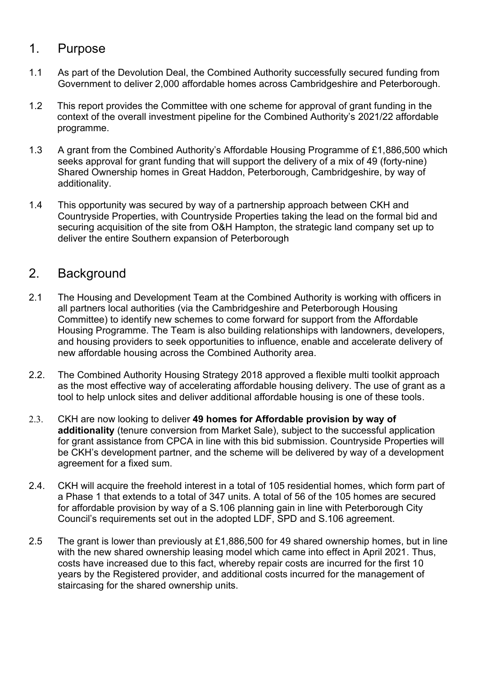### 1. Purpose

- 1.1 As part of the Devolution Deal, the Combined Authority successfully secured funding from Government to deliver 2,000 affordable homes across Cambridgeshire and Peterborough.
- 1.2 This report provides the Committee with one scheme for approval of grant funding in the context of the overall investment pipeline for the Combined Authority's 2021/22 affordable programme.
- 1.3 A grant from the Combined Authority's Affordable Housing Programme of £1,886,500 which seeks approval for grant funding that will support the delivery of a mix of 49 (forty-nine) Shared Ownership homes in Great Haddon, Peterborough, Cambridgeshire, by way of additionality.
- 1.4 This opportunity was secured by way of a partnership approach between CKH and Countryside Properties, with Countryside Properties taking the lead on the formal bid and securing acquisition of the site from O&H Hampton, the strategic land company set up to deliver the entire Southern expansion of Peterborough

# 2. Background

- 2.1 The Housing and Development Team at the Combined Authority is working with officers in all partners local authorities (via the Cambridgeshire and Peterborough Housing Committee) to identify new schemes to come forward for support from the Affordable Housing Programme. The Team is also building relationships with landowners, developers, and housing providers to seek opportunities to influence, enable and accelerate delivery of new affordable housing across the Combined Authority area.
- 2.2. The Combined Authority Housing Strategy 2018 approved a flexible multi toolkit approach as the most effective way of accelerating affordable housing delivery. The use of grant as a tool to help unlock sites and deliver additional affordable housing is one of these tools.
- 2.3. CKH are now looking to deliver **49 homes for Affordable provision by way of additionality** (tenure conversion from Market Sale), subject to the successful application for grant assistance from CPCA in line with this bid submission. Countryside Properties will be CKH's development partner, and the scheme will be delivered by way of a development agreement for a fixed sum.
- 2.4. CKH will acquire the freehold interest in a total of 105 residential homes, which form part of a Phase 1 that extends to a total of 347 units. A total of 56 of the 105 homes are secured for affordable provision by way of a S.106 planning gain in line with Peterborough City Council's requirements set out in the adopted LDF, SPD and S.106 agreement.
- 2.5 The grant is lower than previously at £1,886,500 for 49 shared ownership homes, but in line with the new shared ownership leasing model which came into effect in April 2021. Thus, costs have increased due to this fact, whereby repair costs are incurred for the first 10 years by the Registered provider, and additional costs incurred for the management of staircasing for the shared ownership units.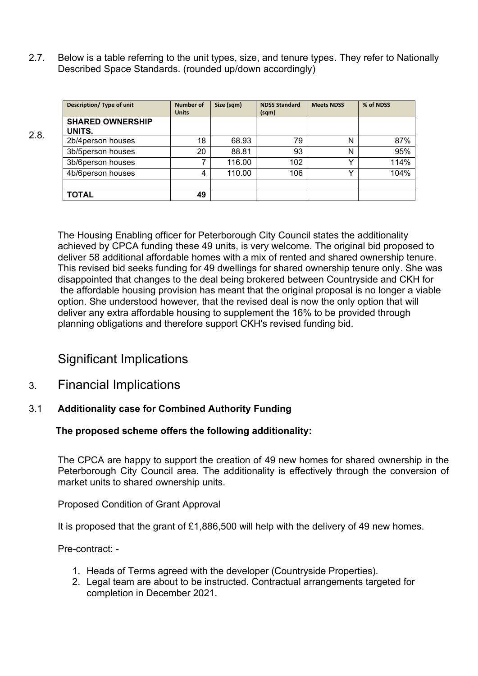2.7. Below is a table referring to the unit types, size, and tenure types. They refer to Nationally Described Space Standards. (rounded up/down accordingly)

|      | Description/ Type of unit         | <b>Number of</b><br><b>Units</b> | Size (sqm) | <b>NDSS Standard</b><br>(sqm) | <b>Meets NDSS</b> | % of NDSS |
|------|-----------------------------------|----------------------------------|------------|-------------------------------|-------------------|-----------|
| 2.8. | <b>SHARED OWNERSHIP</b><br>UNITS. |                                  |            |                               |                   |           |
|      | 2b/4person houses                 | 18                               | 68.93      | 79                            | N                 | 87%       |
|      | 3b/5person houses                 | 20                               | 88.81      | 93                            | N                 | 95%       |
|      | 3b/6person houses                 |                                  | 116.00     | 102                           |                   | 114%      |
|      | 4b/6person houses                 | 4                                | 110.00     | 106                           |                   | 104%      |
|      | <b>TOTAL</b>                      | 49                               |            |                               |                   |           |

The Housing Enabling officer for Peterborough City Council states the additionality achieved by CPCA funding these 49 units, is very welcome. The original bid proposed to deliver 58 additional affordable homes with a mix of rented and shared ownership tenure. This revised bid seeks funding for 49 dwellings for shared ownership tenure only. She was disappointed that changes to the deal being brokered between Countryside and CKH for the affordable housing provision has meant that the original proposal is no longer a viable option. She understood however, that the revised deal is now the only option that will deliver any extra affordable housing to supplement the 16% to be provided through planning obligations and therefore support CKH's revised funding bid.

## Significant Implications

3. Financial Implications

#### 3.1 **Additionality case for Combined Authority Funding**

#### **The proposed scheme offers the following additionality:**

The CPCA are happy to support the creation of 49 new homes for shared ownership in the Peterborough City Council area. The additionality is effectively through the conversion of market units to shared ownership units.

Proposed Condition of Grant Approval

It is proposed that the grant of £1,886,500 will help with the delivery of 49 new homes.

Pre-contract: -

- 1. Heads of Terms agreed with the developer (Countryside Properties).
- 2. Legal team are about to be instructed. Contractual arrangements targeted for completion in December 2021.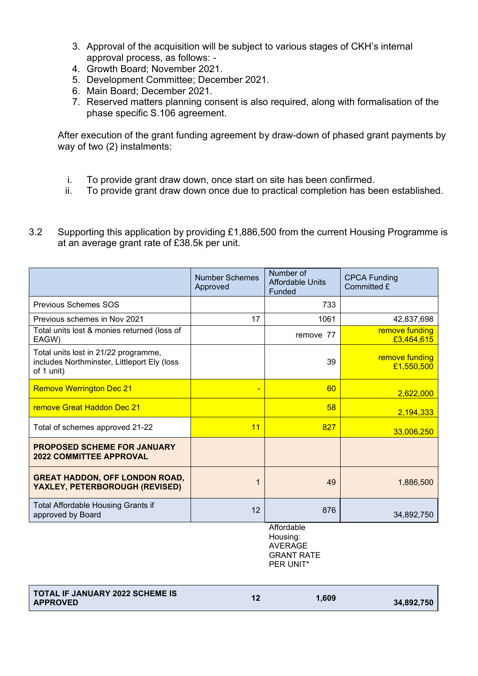- 3. Approval of the acquisition will be subject to various stages of CKH's internal approval process, as follows: -
- 4. Growth Board; November 2021.
- 5. Development Committee; December 2021.
- 6. Main Board; December 2021.
- 7. Reserved matters planning consent is also required, along with formalisation of the phase specific S.106 agreement.

After execution of the grant funding agreement by draw-down of phased grant payments by way of two (2) instalments:

- i. To provide grant draw down, once start on site has been confirmed.
- ii. To provide grant draw down once due to practical completion has been established.
- 3.2 Supporting this application by providing £1,886,500 from the current Housing Programme is at an average grant rate of £38.5k per unit.

|                                                                                                   | <b>Number Schemes</b><br>Approved | Number of<br><b>Affordable Units</b><br>Funded | <b>CPCA Funding</b><br>Committed £ |
|---------------------------------------------------------------------------------------------------|-----------------------------------|------------------------------------------------|------------------------------------|
| Previous Schemes SOS                                                                              |                                   | 733                                            |                                    |
| Previous schemes in Nov 2021                                                                      | 17                                | 1061                                           | 42,837,698                         |
| Total units lost & monies returned (loss of<br>EAGW)                                              |                                   | remove 77                                      | remove funding<br>£3,464,615       |
| Total units lost in 21/22 programme,<br>includes Northminster, Littleport Ely (loss<br>of 1 unit) |                                   | 39                                             | remove funding<br>£1,550,500       |
| <b>Remove Werrington Dec 21</b>                                                                   |                                   | 60                                             | 2,622,000                          |
| <b>remove Great Haddon Dec 21</b>                                                                 |                                   | 58                                             | 2,194,333                          |
| Total of schemes approved 21-22                                                                   | 11                                | 827                                            | 33,006,250                         |
| <b>PROPOSED SCHEME FOR JANUARY</b><br><b>2022 COMMITTEE APPROVAL</b>                              |                                   |                                                |                                    |
| <b>GREAT HADDON, OFF LONDON ROAD,</b><br>YAXLEY, PETERBOROUGH (REVISED)                           |                                   | 49                                             | 1,886,500                          |
| Total Affordable Housing Grants if<br>approved by Board                                           | 12                                | 876                                            | 34,892,750                         |
|                                                                                                   |                                   | Affordable                                     |                                    |

Affordable Housing: AVERAGE GRANT RATE PER UNIT\*

| <b>TOTAL IF JANUARY 2022 SCHEME IS</b><br><b>APPROVED</b> |  | 1.609 | 34,892,750 |
|-----------------------------------------------------------|--|-------|------------|
|-----------------------------------------------------------|--|-------|------------|